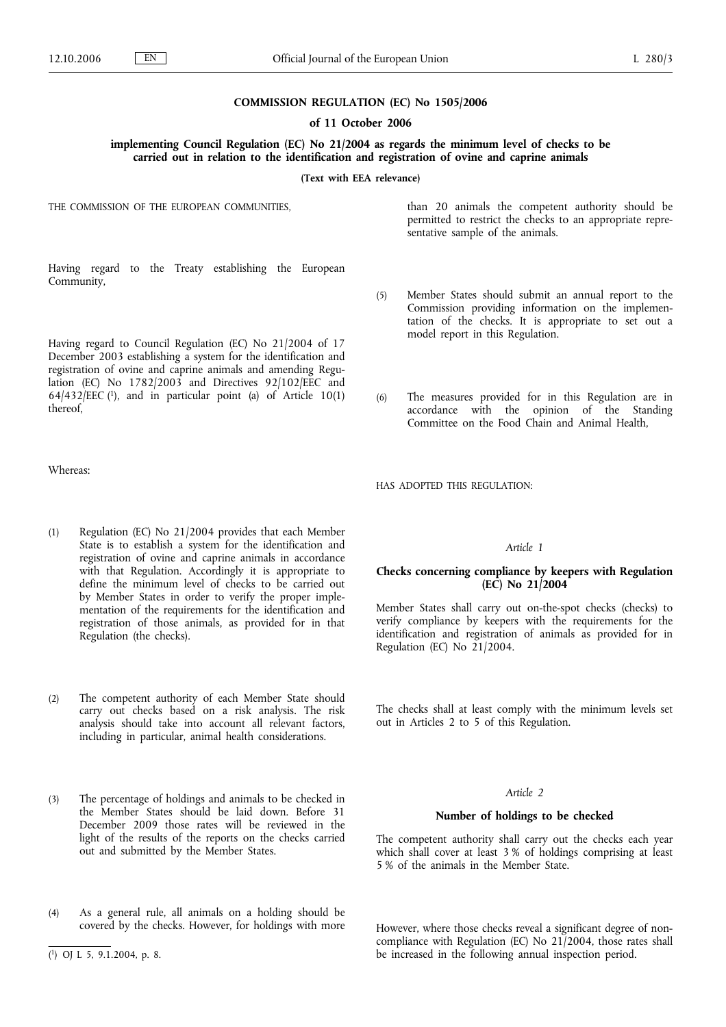#### **COMMISSION REGULATION (EC) No 1505/2006**

### **of 11 October 2006**

**implementing Council Regulation (EC) No 21/2004 as regards the minimum level of checks to be carried out in relation to the identification and registration of ovine and caprine animals**

#### **(Text with EEA relevance)**

THE COMMISSION OF THE EUROPEAN COMMUNITIES,

than 20 animals the competent authority should be permitted to restrict the checks to an appropriate representative sample of the animals.

Having regard to the Treaty establishing the European Community,

Having regard to Council Regulation (EC) No 21/2004 of 17 December 2003 establishing a system for the identification and registration of ovine and caprine animals and amending Regulation (EC) No  $1782/2003$  and Directives 92/102/EEC and  $64/432/EEC$  (1), and in particular point (a) of Article 10(1) thereof,

Whereas:

- (1) Regulation (EC) No 21/2004 provides that each Member State is to establish a system for the identification and registration of ovine and caprine animals in accordance with that Regulation. Accordingly it is appropriate to define the minimum level of checks to be carried out by Member States in order to verify the proper implementation of the requirements for the identification and registration of those animals, as provided for in that Regulation (the checks).
- (2) The competent authority of each Member State should carry out checks based on a risk analysis. The risk analysis should take into account all relevant factors, including in particular, animal health considerations.
- (3) The percentage of holdings and animals to be checked in the Member States should be laid down. Before 31 December 2009 those rates will be reviewed in the light of the results of the reports on the checks carried out and submitted by the Member States.
- (4) As a general rule, all animals on a holding should be covered by the checks. However, for holdings with more
- (5) Member States should submit an annual report to the Commission providing information on the implementation of the checks. It is appropriate to set out a model report in this Regulation.
- (6) The measures provided for in this Regulation are in accordance with the opinion of the Standing Committee on the Food Chain and Animal Health,

HAS ADOPTED THIS REGULATION:

#### *Article 1*

## **Checks concerning compliance by keepers with Regulation (EC) No 21/2004**

Member States shall carry out on-the-spot checks (checks) to verify compliance by keepers with the requirements for the identification and registration of animals as provided for in Regulation (EC) No 21/2004.

The checks shall at least comply with the minimum levels set out in Articles 2 to 5 of this Regulation.

### *Article 2*

### **Number of holdings to be checked**

The competent authority shall carry out the checks each year which shall cover at least 3 % of holdings comprising at least 5 % of the animals in the Member State.

However, where those checks reveal a significant degree of noncompliance with Regulation (EC) No 21/2004, those rates shall be increased in the following annual inspection period.

<sup>(</sup> 1) OJ L 5, 9.1.2004, p. 8.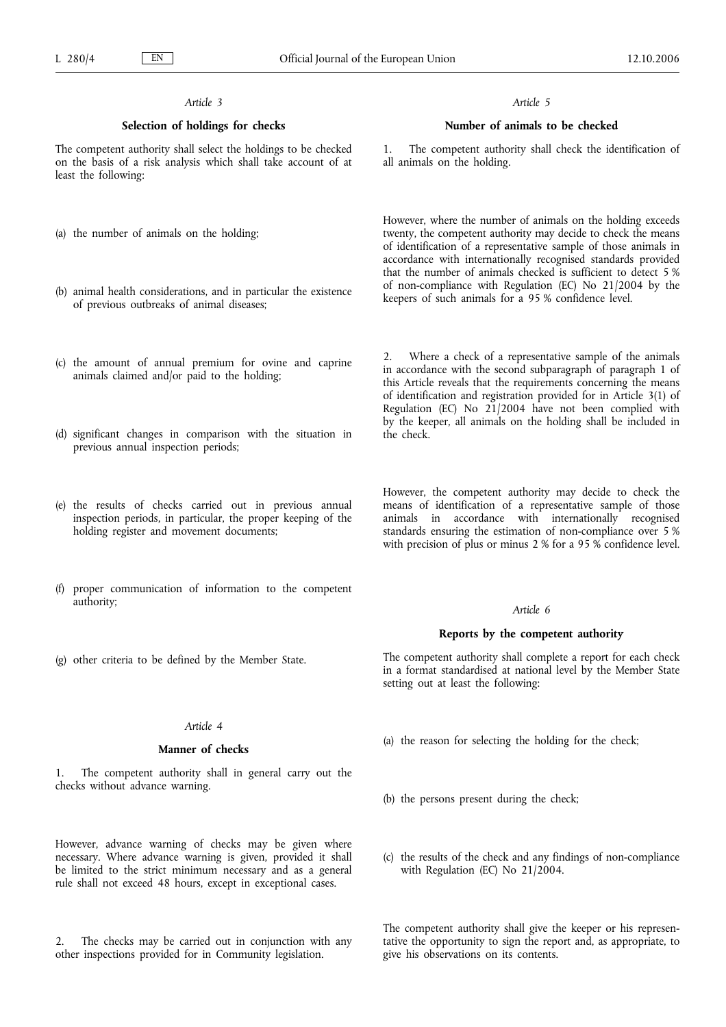# *Article 3*

## **Selection of holdings for checks**

The competent authority shall select the holdings to be checked on the basis of a risk analysis which shall take account of at least the following:

- (a) the number of animals on the holding;
- (b) animal health considerations, and in particular the existence of previous outbreaks of animal diseases;
- (c) the amount of annual premium for ovine and caprine animals claimed and/or paid to the holding;
- (d) significant changes in comparison with the situation in previous annual inspection periods;
- (e) the results of checks carried out in previous annual inspection periods, in particular, the proper keeping of the holding register and movement documents;
- (f) proper communication of information to the competent authority;

*Article 5*

### **Number of animals to be checked**

The competent authority shall check the identification of all animals on the holding.

However, where the number of animals on the holding exceeds twenty, the competent authority may decide to check the means of identification of a representative sample of those animals in accordance with internationally recognised standards provided that the number of animals checked is sufficient to detect 5 % of non-compliance with Regulation (EC) No 21/2004 by the keepers of such animals for a 95 % confidence level.

2. Where a check of a representative sample of the animals in accordance with the second subparagraph of paragraph 1 of this Article reveals that the requirements concerning the means of identification and registration provided for in Article 3(1) of Regulation (EC) No 21/2004 have not been complied with by the keeper, all animals on the holding shall be included in the check.

However, the competent authority may decide to check the means of identification of a representative sample of those animals in accordance with internationally recognised standards ensuring the estimation of non-compliance over 5 % with precision of plus or minus 2 % for a 95 % confidence level.

### *Article 6*

## **Reports by the competent authority**

The competent authority shall complete a report for each check in a format standardised at national level by the Member State setting out at least the following:

- (a) the reason for selecting the holding for the check;
- (b) the persons present during the check;
- (c) the results of the check and any findings of non-compliance with Regulation (EC) No 21/2004.

The competent authority shall give the keeper or his representative the opportunity to sign the report and, as appropriate, to give his observations on its contents.

# (g) other criteria to be defined by the Member State.

# *Article 4*

### **Manner of checks**

The competent authority shall in general carry out the checks without advance warning.

However, advance warning of checks may be given where necessary. Where advance warning is given, provided it shall be limited to the strict minimum necessary and as a general rule shall not exceed 48 hours, except in exceptional cases.

The checks may be carried out in conjunction with any other inspections provided for in Community legislation.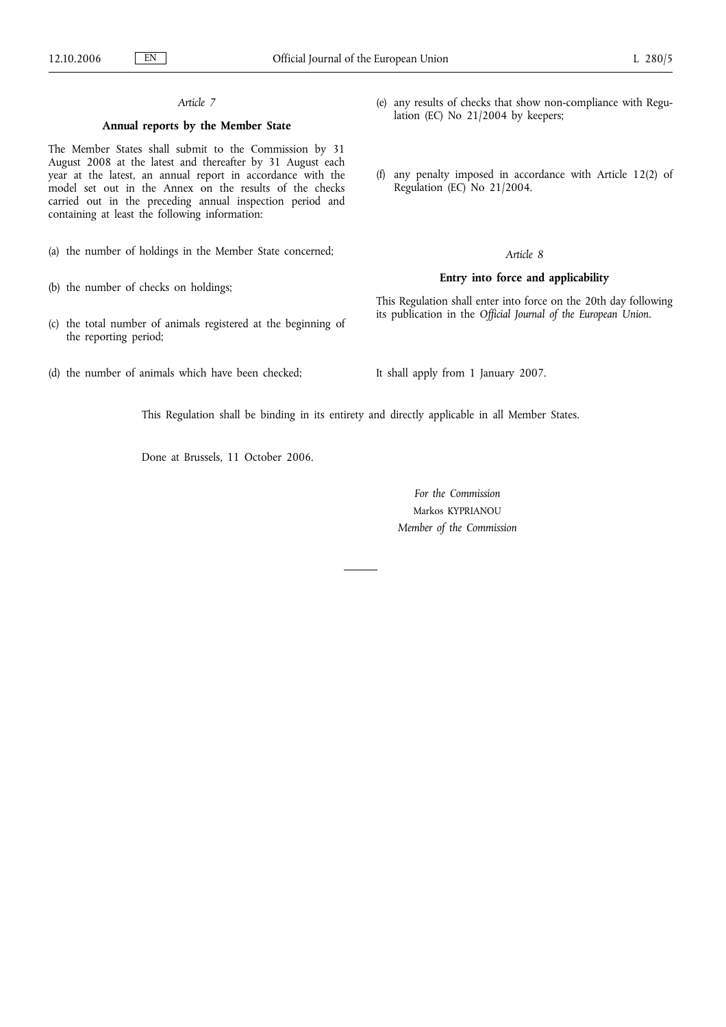# *Article 7*

# **Annual reports by the Member State**

The Member States shall submit to the Commission by 31 August 2008 at the latest and thereafter by 31 August each year at the latest, an annual report in accordance with the model set out in the Annex on the results of the checks carried out in the preceding annual inspection period and containing at least the following information:

- (a) the number of holdings in the Member State concerned;
- (b) the number of checks on holdings;
- (c) the total number of animals registered at the beginning of the reporting period;
- (d) the number of animals which have been checked;
- (e) any results of checks that show non-compliance with Regulation (EC) No 21/2004 by keepers;
- (f) any penalty imposed in accordance with Article 12(2) of Regulation (EC) No 21/2004.

### *Article 8*

# **Entry into force and applicability**

This Regulation shall enter into force on the 20th day following its publication in the *Official Journal of the European Union*.

It shall apply from 1 January 2007.

This Regulation shall be binding in its entirety and directly applicable in all Member States.

Done at Brussels, 11 October 2006.

*For the Commission* Markos KYPRIANOU *Member of the Commission*